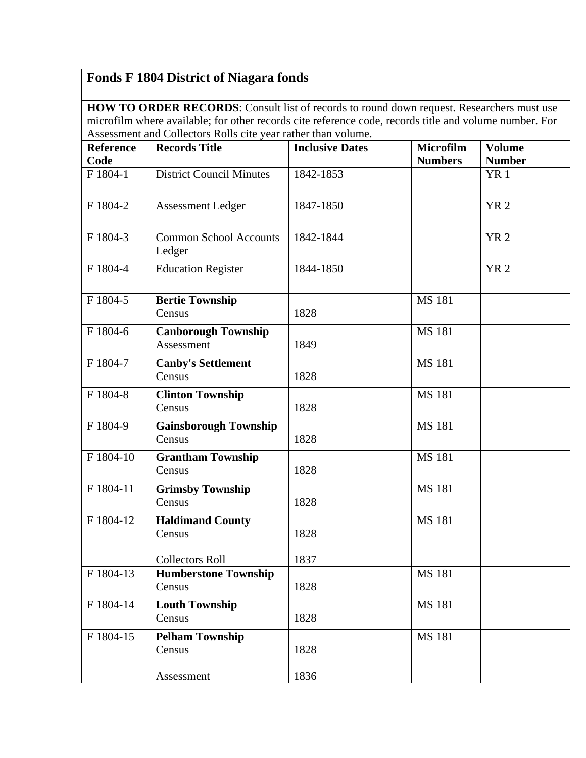## **Fonds F 1804 District of Niagara fonds**

**HOW TO ORDER RECORDS**: Consult list of records to round down request. Researchers must use microfilm where available; for other records cite reference code, records title and volume number. For Assessment and Collectors Rolls cite year rather than volume.

| <b>Reference</b> | <b>Records Title</b>                     | <b>Inclusive Dates</b> | Microfilm      | <b>Volume</b>   |
|------------------|------------------------------------------|------------------------|----------------|-----------------|
| Code             |                                          |                        | <b>Numbers</b> | <b>Number</b>   |
| F 1804-1         | <b>District Council Minutes</b>          | 1842-1853              |                | YR <sub>1</sub> |
| F 1804-2         | <b>Assessment Ledger</b>                 | 1847-1850              |                | <b>YR2</b>      |
| F 1804-3         | <b>Common School Accounts</b><br>Ledger  | 1842-1844              |                | <b>YR2</b>      |
| F 1804-4         | <b>Education Register</b>                | 1844-1850              |                | <b>YR2</b>      |
| F 1804-5         | <b>Bertie Township</b><br>Census         | 1828                   | <b>MS 181</b>  |                 |
| F 1804-6         | <b>Canborough Township</b><br>Assessment | 1849                   | <b>MS 181</b>  |                 |
| F 1804-7         | <b>Canby's Settlement</b><br>Census      | 1828                   | <b>MS 181</b>  |                 |
| F 1804-8         | <b>Clinton Township</b><br>Census        | 1828                   | <b>MS 181</b>  |                 |
| F 1804-9         | <b>Gainsborough Township</b><br>Census   | 1828                   | <b>MS 181</b>  |                 |
| F 1804-10        | <b>Grantham Township</b><br>Census       | 1828                   | <b>MS 181</b>  |                 |
| F 1804-11        | <b>Grimsby Township</b><br>Census        | 1828                   | <b>MS 181</b>  |                 |
| F 1804-12        | <b>Haldimand County</b><br>Census        | 1828                   | <b>MS 181</b>  |                 |
|                  | <b>Collectors Roll</b>                   | 1837                   |                |                 |
| F 1804-13        | <b>Humberstone Township</b><br>Census    | 1828                   | <b>MS 181</b>  |                 |
| F 1804-14        | <b>Louth Township</b><br>Census          | 1828                   | <b>MS 181</b>  |                 |
| F 1804-15        | <b>Pelham Township</b><br>Census         | 1828                   | <b>MS 181</b>  |                 |
|                  | Assessment                               | 1836                   |                |                 |